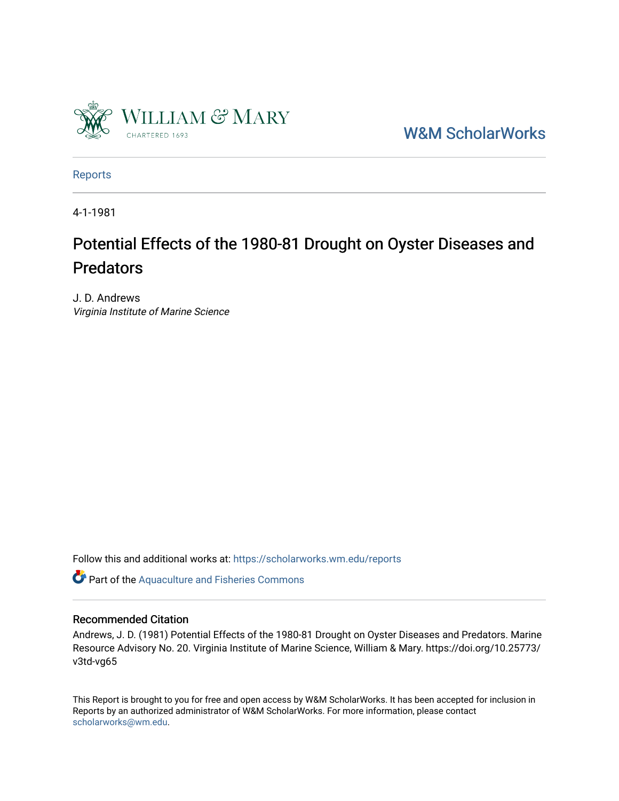

[W&M ScholarWorks](https://scholarworks.wm.edu/) 

[Reports](https://scholarworks.wm.edu/reports)

4-1-1981

## Potential Effects of the 1980-81 Drought on Oyster Diseases and **Predators**

J. D. Andrews Virginia Institute of Marine Science

Follow this and additional works at: [https://scholarworks.wm.edu/reports](https://scholarworks.wm.edu/reports?utm_source=scholarworks.wm.edu%2Freports%2F1323&utm_medium=PDF&utm_campaign=PDFCoverPages)

Part of the [Aquaculture and Fisheries Commons](http://network.bepress.com/hgg/discipline/78?utm_source=scholarworks.wm.edu%2Freports%2F1323&utm_medium=PDF&utm_campaign=PDFCoverPages)

## Recommended Citation

Andrews, J. D. (1981) Potential Effects of the 1980-81 Drought on Oyster Diseases and Predators. Marine Resource Advisory No. 20. Virginia Institute of Marine Science, William & Mary. https://doi.org/10.25773/ v3td-vg65

This Report is brought to you for free and open access by W&M ScholarWorks. It has been accepted for inclusion in Reports by an authorized administrator of W&M ScholarWorks. For more information, please contact [scholarworks@wm.edu.](mailto:scholarworks@wm.edu)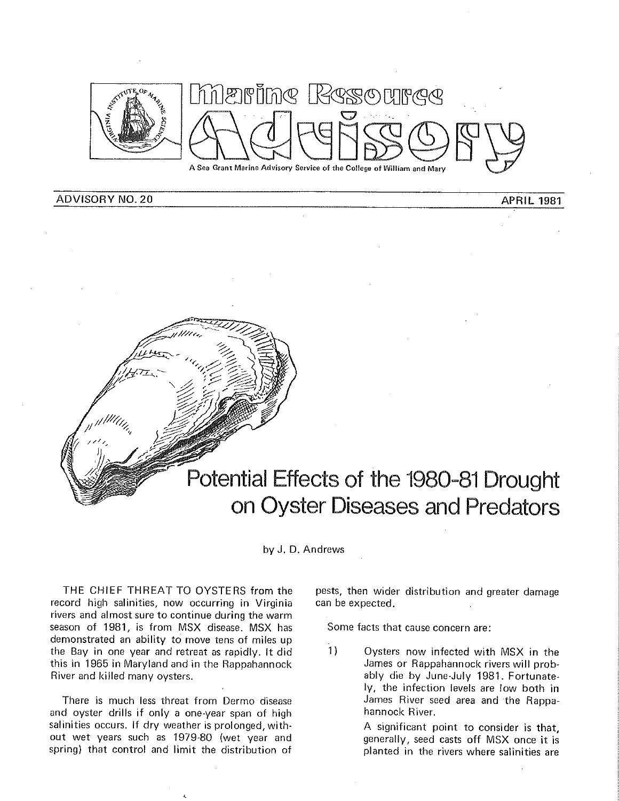

ADVISORY NO. 20 **APRIL 1981** 



by J. D. Andrews

THE CHIEF THREAT TO OYSTERS from the record high salinities, now occurring in Virginia rivers and almost sure to continue during the warm season of 1981, is from MSX disease. MSX has demonstrated an ability to move tens of miles up the Bay in one year and retreat as rapidly. It did this in 1965 in Maryland and in the Rappahannock River and killed many oysters.

There is much less threat from Dermo disease and oyster drills if only a one-year span of high salinities occurs. If dry weather is prolonged, without wet years such as 1979-80 (wet year and spring) that control and limit the distribution of

pests, then wider distribution and greater damage can be expected.

Some facts that cause concern are:

1) Oysters now infected with MSX in the James or Rappahannock rivers will probably die by June-July 1981. Fortunately, the infection levels are low both in James River seed area and the Rappahannock River.

> A significant point to consider is that, generally, seed casts off MSX once it is planted in the rivers where salinities are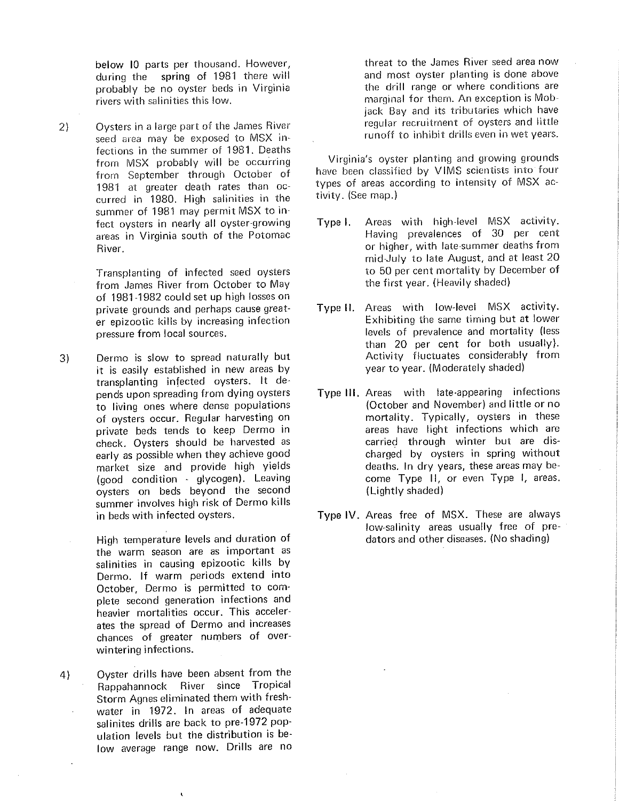below 10 parts per thousand. However, during the spring of 1981 there will probably be no oyster beds in Virginia rivers with salinities this low.

- 2) Oysters in a large part of the James River seed area may be exposed to MSX infections in the summer of 1981. Deaths from MSX probably will be occurring from September through October of 1981 at greater death rates than occurred in 1980. High salinities in the summer of 1981 may permit MSX to infect oysters in nearly all oyster-growing areas in Virginia south of the Potomac River.
	- Transplanting of infected seed oysters from James River from October to May of 1981-1982 could set up high losses on private grounds and perhaps cause greater epizootic kills by increasing infection pressure from local sources.
- 3) Dermo is slow to spread naturally but it is easily established in new areas by transplanting infected oysters. It depends upon spreading from dying oysters to living ones where dense populations of oysters occur. Regular harvesting on private beds tends to keep Dermo in check. Oysters should be harvested as early as possible when they achieve good market size and provide high yields (good condition - glycogen). Leaving oysters on beds beyond the second summer involves high risk of Dermo kills in beds with infected oysters.
	- High temperature levels and duration of the warm season are as important as salinities in causing epizootic kills by Dermo. If warm periods extend into October, Dermo is permitted to complete second generation infections and heavier mortalities occur. This accelerates the spread of Dermo and increases chances of greater numbers of overwintering infections.
- 4) Oyster drills have been absent from the Rappahannock River since Tropical Storm Agnes eliminated them with freshwater in 1972. In areas of adequate salinites drills are back to pre-1972 population levels but the distribution is below average range now. Drills are no

threat to the James River seed area now and most oyster planting is done above the drill range or where conditions are marginal for them. An exception is Mobjack Bay and its tributaries which have regular recruitment of oysters and little runoff to inhibit drills even in wet years.

Virginia's oyster planting and growing grounds have been classified by VIMS scientists into four types of areas according to intensity of MSX activity. (See map.)

- Type I. Areas with high-level MSX activity. Having prevalences of 30 per cent or higher, with late-summer deaths from mid-July to late August, and at least 20 to 50 per cent mortality by December of the first year. (Heavily shaded)
- Type II. Areas with low-level MSX activity. Exhibiting the same timing but at lower levels of prevalence and mortality (less than 20 per cent for both usually). Activity fluctuates considerably from year to year. (Moderately shaded)
- Type **111.** Areas with late-appearing infections (October and November) and little or no mortality. Typically, oysters in these areas have light infections which are carried through winter but are discharged by oysters in spring without deaths. In dry years, these areas may become Type 11, or even Type I, areas. (Lightly shaded)
- Type IV. Areas free of MSX. These are always low-salinity areas usually free of predators and other diseases. (No shading)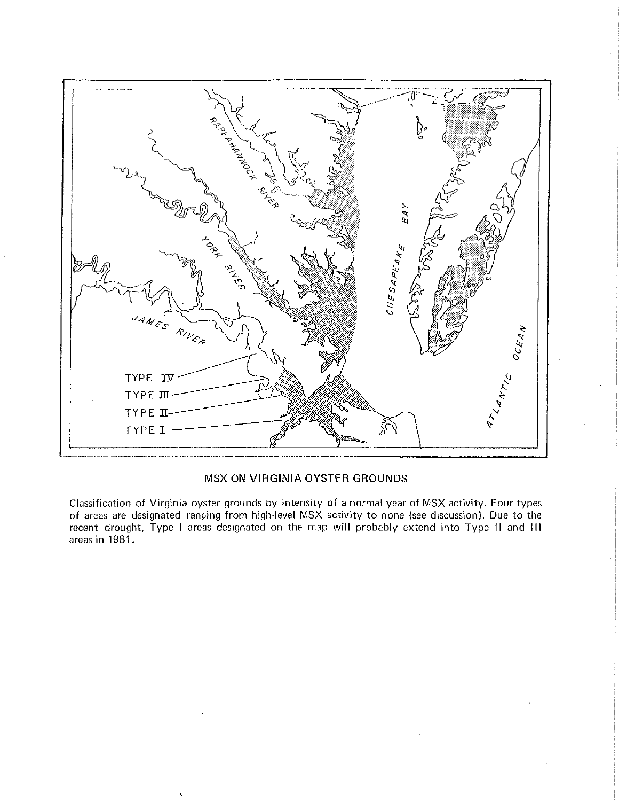

## MSX **ON VIRGINIA OYSTER GROUNDS**

Classification of Virginia oyster grounds by intensity of a normal year of MSX activity. Four types of areas are designated ranging from high-level MSX activity to none (see discussion). Due to the recent drought, Type I areas designated on the map **will** probably extend into Type 11 and **<sup>111</sup>** areas in 1981.